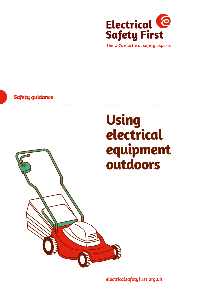

The UK's electrical safety experts

## **Safety guidance**

# **Using electrical equipment outdoors**



[electricalsafetyfirst.org.uk](http://www.electricalsafetyfirst.org.uk)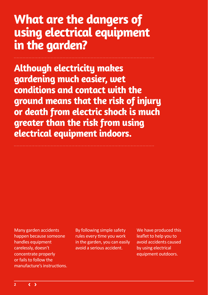## **What are the dangers of using electrical equipment in the garden?**

**Although electricity makes gardening much easier, wet conditions and contact with the ground means that the risk of injury or death from electric shock is much greater than the risk from using electrical equipment indoors.**

Many garden accidents happen because someone handles equipment carelessly, doesn't concentrate properly or fails to follow the manufacture's instructions.

By following simple safety rules every time you work in the garden, you can easily avoid a serious accident.

We have produced this leaflet to help you to avoid accidents caused by using electrical equipment outdoors.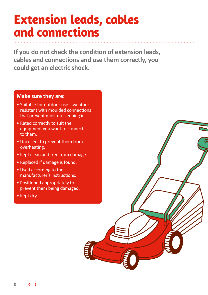# **Extension leads, cables and connections**

**If you do not check the condition of extension leads, cables and connections and use them correctly, you could get an electric shock.**

### **Make sure they are:**

- Suitable for outdoor use weatherresistant with moulded connections that prevent moisture seeping in.
- Rated correctly to suit the equipment you want to connect to them.
- Uncoiled, to prevent them from overheating.
- Kept clean and free from damage.
- Replaced if damage is found.
- Used according to the manufacturer's instructions.
- Positioned appropriately to prevent them being damaged.
- Kept dry.

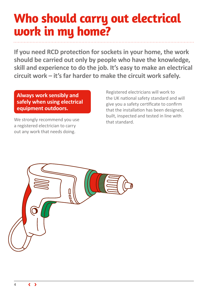# **Who should carry out electrical work in my home?**

**If you need RCD protection for sockets in your home, the work should be carried out only by people who have the knowledge, skill and experience to do the job. It's easy to make an electrical circuit work – it's far harder to make the circuit work safely.**

## **Always work sensibly and safely when using electrical equipment outdoors.**

We strongly recommend you use a registered electrician to carry out any work that needs doing.

Registered electricians will work to the UK national safety standard and will give you a safety certificate to confirm that the installation has been designed, built, inspected and tested in line with that standard.

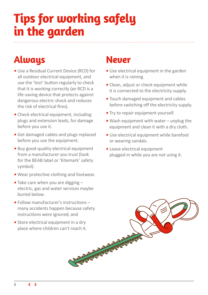# **Tips for working safely in the garden**

## **Always Never**

- **•** Use a Residual Current Device (RCD) for all outdoor electrical equipment, and use the 'test' button regularly to check that it is working correctly (an RCD is a life-saving device that protects against dangerous electric shock and reduces the risk of electrical fires).
- **•** Check electrical equipment, including plugs and extension leads, for damage before you use it.
- **•** Get damaged cables and plugs replaced before you use the equipment.
- **•** Buy good-quality electrical equipment from a manufacturer you trust (look for the BEAB label or 'Kitemark' safety symbol).
- **•** Wear protective clothing and footwear.
- **•** Take care when you are digging electric, gas and water services maybe buried below.
- **•** Follow manufacturer's instructions many accidents happen because safety instructions were ignored; and
- **•** Store electrical equipment in a dry place where children can't reach it.

- Use electrical equipment in the garden when it is raining.
- Clean, adjust or check equipment while it is connected to the electricity supply.
- Touch damaged equipment and cables before switching off the electricity supply.
- Try to repair equipment yourself.
- Wash equipment with water unplug the equipment and clean it with a dry cloth.
- Use electrical equipment while barefoot or wearing sandals.
- Leave electrical equipment plugged in while you are not using it.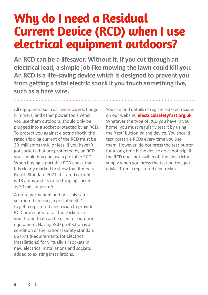## **Why do I need a Residual Current Device (RCD) when I use electrical equipment outdoors?**

**An RCD can be a lifesaver. Without it, if you cut through an electrical lead, a simple job like mowing the lawn could kill you. An RCD is a life-saving device which is designed to prevent you from getting a fatal electric shock if you touch something live, such as a bare wire.**

All equipment such as lawnmowers, hedge trimmers, and other power tools when you use them outdoors, should only be plugged into a socket protected by an RCD. To protect you against electric shock, the rated tripping current of the RCD must be 30 milliamps (mA) or less. If you haven't got sockets that are protected by an RCD you should buy and use a portable RCD. When buying a portable RCD check that it is clearly marked to show that it meets British Standard 7071, its rated current is 13 amps and its rated tripping current is 30 milliamps (mA).

A more permanent and possibly safer solution than using a portable RCD is to get a registered electrician to provide RCD protection for all the sockets in your home that can be used for outdoor equipment. Having RCD protection is a condition of the national safety standard BS7671 (Requirements for Electrical Installations) for virtually all sockets in new electrical installations and sockets added to existing installations.

You can find details of registered electricians on our website, **[electricalsafetyfirst.org.uk](http://www.electricalsafetyfirst.org.uk)**. Whatever the type of RCD you have in your home, you must regularly test it by using the 'test' button on the device. You should test portable RCDs every time you use them. However, do not press the test button for a long time if the device does not trip. If the RCD does not switch off the electricity supply when you press the test button, get advice from a registered electrician.